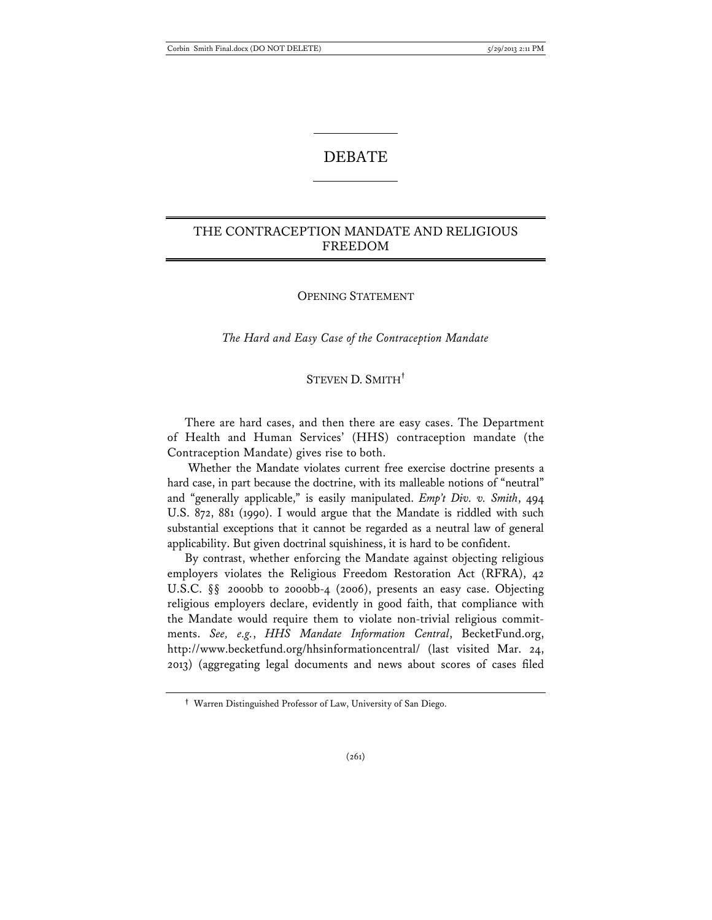# DEBATE

# THE CONTRACEPTION MANDATE AND RELIGIOUS FREEDOM

## OPENING STATEMENT

*The Hard and Easy Case of the Contraception Mandate* 

## STEVEN D. SMITH**†**

There are hard cases, and then there are easy cases. The Department of Health and Human Services' (HHS) contraception mandate (the Contraception Mandate) gives rise to both.

 Whether the Mandate violates current free exercise doctrine presents a hard case, in part because the doctrine, with its malleable notions of "neutral" and "generally applicable," is easily manipulated. *Emp't Div. v. Smith*, 494 U.S. 872, 881 (1990). I would argue that the Mandate is riddled with such substantial exceptions that it cannot be regarded as a neutral law of general applicability. But given doctrinal squishiness, it is hard to be confident.

By contrast, whether enforcing the Mandate against objecting religious employers violates the Religious Freedom Restoration Act (RFRA), 42 U.S.C. §§ 2000bb to 2000bb-4 (2006), presents an easy case. Objecting religious employers declare, evidently in good faith, that compliance with the Mandate would require them to violate non-trivial religious commitments. *See, e.g.*, *HHS Mandate Information Central*, BecketFund.org, http://www.becketfund.org/hhsinformationcentral/ (last visited Mar. 24, 2013) (aggregating legal documents and news about scores of cases filed

**<sup>†</sup>** Warren Distinguished Professor of Law, University of San Diego.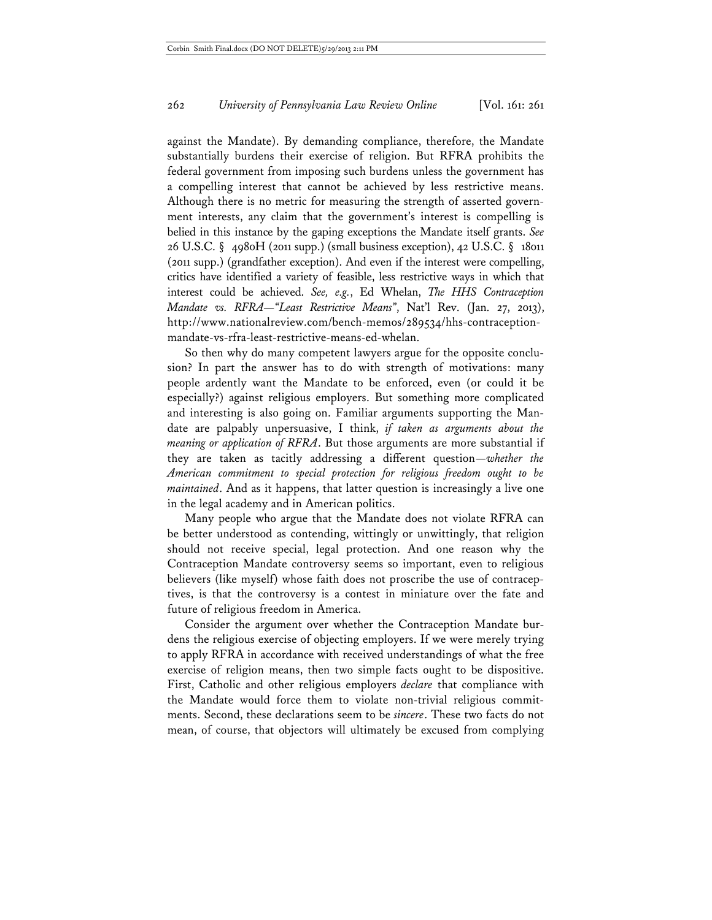against the Mandate). By demanding compliance, therefore, the Mandate substantially burdens their exercise of religion. But RFRA prohibits the federal government from imposing such burdens unless the government has a compelling interest that cannot be achieved by less restrictive means. Although there is no metric for measuring the strength of asserted government interests, any claim that the government's interest is compelling is belied in this instance by the gaping exceptions the Mandate itself grants. *See* 26 U.S.C. § 4980H (2011 supp.) (small business exception), 42 U.S.C. § 18011 (2011 supp.) (grandfather exception). And even if the interest were compelling, critics have identified a variety of feasible, less restrictive ways in which that interest could be achieved. *See, e.g.*, Ed Whelan, *The HHS Contraception Mandate vs. RFRA—"Least Restrictive Means"*, Nat'l Rev. (Jan. 27, 2013), http://www.nationalreview.com/bench-memos/289534/hhs-contraceptionmandate-vs-rfra-least-restrictive-means-ed-whelan.

So then why do many competent lawyers argue for the opposite conclusion? In part the answer has to do with strength of motivations: many people ardently want the Mandate to be enforced, even (or could it be especially?) against religious employers. But something more complicated and interesting is also going on. Familiar arguments supporting the Mandate are palpably unpersuasive, I think, *if taken as arguments about the meaning or application of RFRA*. But those arguments are more substantial if they are taken as tacitly addressing a different question—*whether the American commitment to special protection for religious freedom ought to be maintained*. And as it happens, that latter question is increasingly a live one in the legal academy and in American politics.

Many people who argue that the Mandate does not violate RFRA can be better understood as contending, wittingly or unwittingly, that religion should not receive special, legal protection. And one reason why the Contraception Mandate controversy seems so important, even to religious believers (like myself) whose faith does not proscribe the use of contraceptives, is that the controversy is a contest in miniature over the fate and future of religious freedom in America.

Consider the argument over whether the Contraception Mandate burdens the religious exercise of objecting employers. If we were merely trying to apply RFRA in accordance with received understandings of what the free exercise of religion means, then two simple facts ought to be dispositive. First, Catholic and other religious employers *declare* that compliance with the Mandate would force them to violate non-trivial religious commitments. Second, these declarations seem to be *sincere*. These two facts do not mean, of course, that objectors will ultimately be excused from complying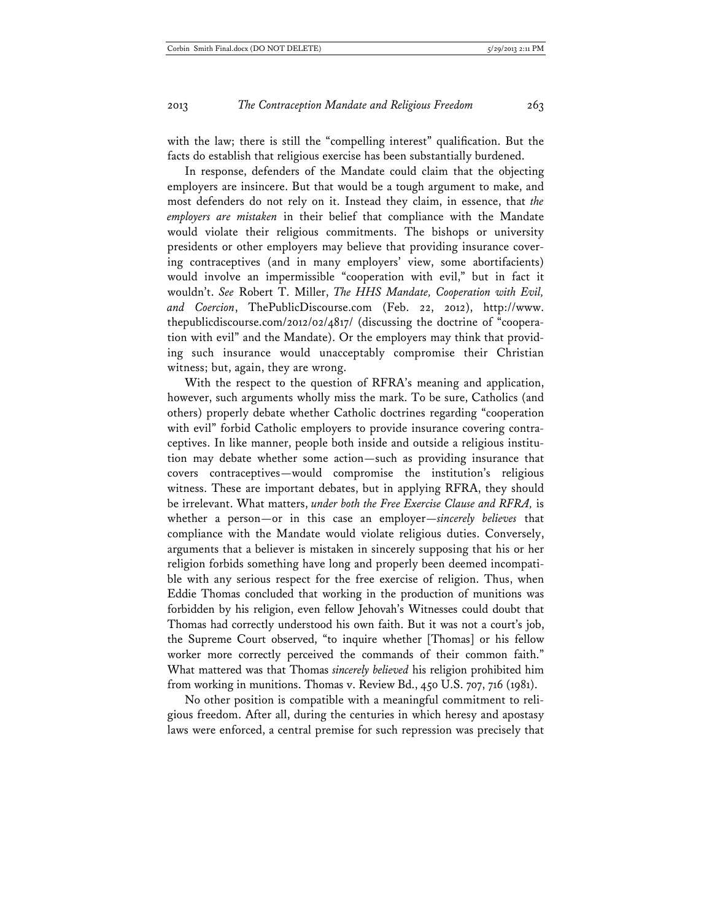with the law; there is still the "compelling interest" qualification. But the facts do establish that religious exercise has been substantially burdened.

In response, defenders of the Mandate could claim that the objecting employers are insincere. But that would be a tough argument to make, and most defenders do not rely on it. Instead they claim, in essence, that *the employers are mistaken* in their belief that compliance with the Mandate would violate their religious commitments. The bishops or university presidents or other employers may believe that providing insurance covering contraceptives (and in many employers' view, some abortifacients) would involve an impermissible "cooperation with evil," but in fact it wouldn't. *See* Robert T. Miller, *The HHS Mandate, Cooperation with Evil, and Coercion*, ThePublicDiscourse.com (Feb. 22, 2012), http://www. thepublicdiscourse.com/2012/02/4817/ (discussing the doctrine of "cooperation with evil" and the Mandate). Or the employers may think that providing such insurance would unacceptably compromise their Christian witness; but, again, they are wrong.

With the respect to the question of RFRA's meaning and application, however, such arguments wholly miss the mark. To be sure, Catholics (and others) properly debate whether Catholic doctrines regarding "cooperation with evil" forbid Catholic employers to provide insurance covering contraceptives. In like manner, people both inside and outside a religious institution may debate whether some action—such as providing insurance that covers contraceptives—would compromise the institution's religious witness. These are important debates, but in applying RFRA, they should be irrelevant. What matters, *under both the Free Exercise Clause and RFRA,* is whether a person—or in this case an employer—*sincerely believes* that compliance with the Mandate would violate religious duties. Conversely, arguments that a believer is mistaken in sincerely supposing that his or her religion forbids something have long and properly been deemed incompatible with any serious respect for the free exercise of religion. Thus, when Eddie Thomas concluded that working in the production of munitions was forbidden by his religion, even fellow Jehovah's Witnesses could doubt that Thomas had correctly understood his own faith. But it was not a court's job, the Supreme Court observed, "to inquire whether [Thomas] or his fellow worker more correctly perceived the commands of their common faith." What mattered was that Thomas *sincerely believed* his religion prohibited him from working in munitions. Thomas v. Review Bd., 450 U.S. 707, 716 (1981).

No other position is compatible with a meaningful commitment to religious freedom. After all, during the centuries in which heresy and apostasy laws were enforced, a central premise for such repression was precisely that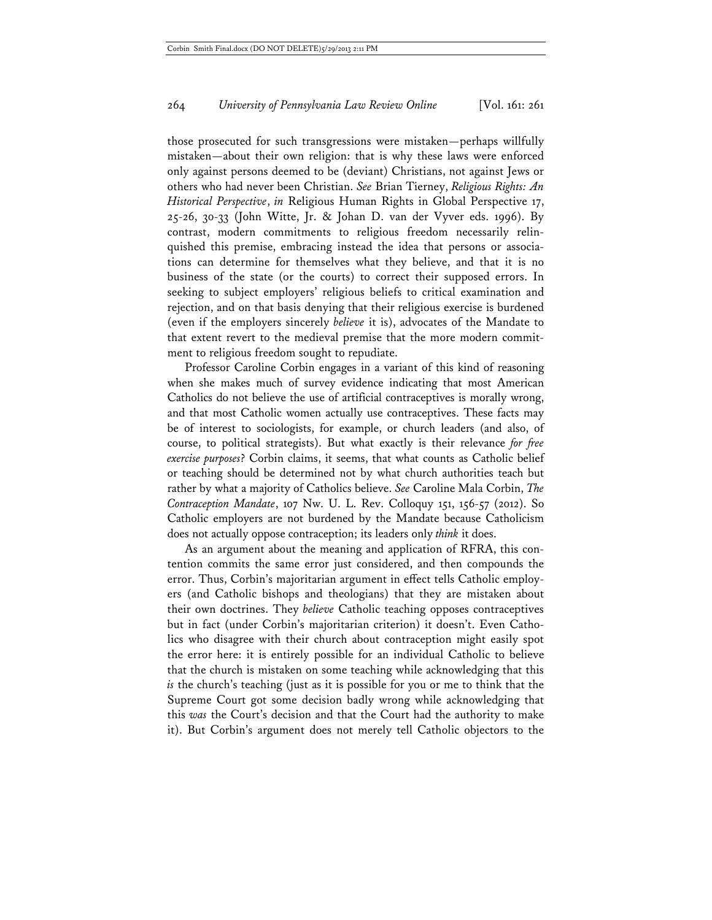those prosecuted for such transgressions were mistaken—perhaps willfully mistaken—about their own religion: that is why these laws were enforced only against persons deemed to be (deviant) Christians, not against Jews or others who had never been Christian. *See* Brian Tierney, *Religious Rights: An Historical Perspective*, *in* Religious Human Rights in Global Perspective 17, 25-26, 30-33 (John Witte, Jr. & Johan D. van der Vyver eds. 1996). By contrast, modern commitments to religious freedom necessarily relinquished this premise, embracing instead the idea that persons or associations can determine for themselves what they believe, and that it is no business of the state (or the courts) to correct their supposed errors. In seeking to subject employers' religious beliefs to critical examination and rejection, and on that basis denying that their religious exercise is burdened (even if the employers sincerely *believe* it is), advocates of the Mandate to that extent revert to the medieval premise that the more modern commitment to religious freedom sought to repudiate.

Professor Caroline Corbin engages in a variant of this kind of reasoning when she makes much of survey evidence indicating that most American Catholics do not believe the use of artificial contraceptives is morally wrong, and that most Catholic women actually use contraceptives. These facts may be of interest to sociologists, for example, or church leaders (and also, of course, to political strategists). But what exactly is their relevance *for free exercise purposes*? Corbin claims, it seems, that what counts as Catholic belief or teaching should be determined not by what church authorities teach but rather by what a majority of Catholics believe. *See* Caroline Mala Corbin, *The Contraception Mandate*, 107 Nw. U. L. Rev. Colloquy 151, 156-57 (2012). So Catholic employers are not burdened by the Mandate because Catholicism does not actually oppose contraception; its leaders only *think* it does.

As an argument about the meaning and application of RFRA, this contention commits the same error just considered, and then compounds the error. Thus, Corbin's majoritarian argument in effect tells Catholic employers (and Catholic bishops and theologians) that they are mistaken about their own doctrines. They *believe* Catholic teaching opposes contraceptives but in fact (under Corbin's majoritarian criterion) it doesn't. Even Catholics who disagree with their church about contraception might easily spot the error here: it is entirely possible for an individual Catholic to believe that the church is mistaken on some teaching while acknowledging that this *is* the church's teaching (just as it is possible for you or me to think that the Supreme Court got some decision badly wrong while acknowledging that this *was* the Court's decision and that the Court had the authority to make it). But Corbin's argument does not merely tell Catholic objectors to the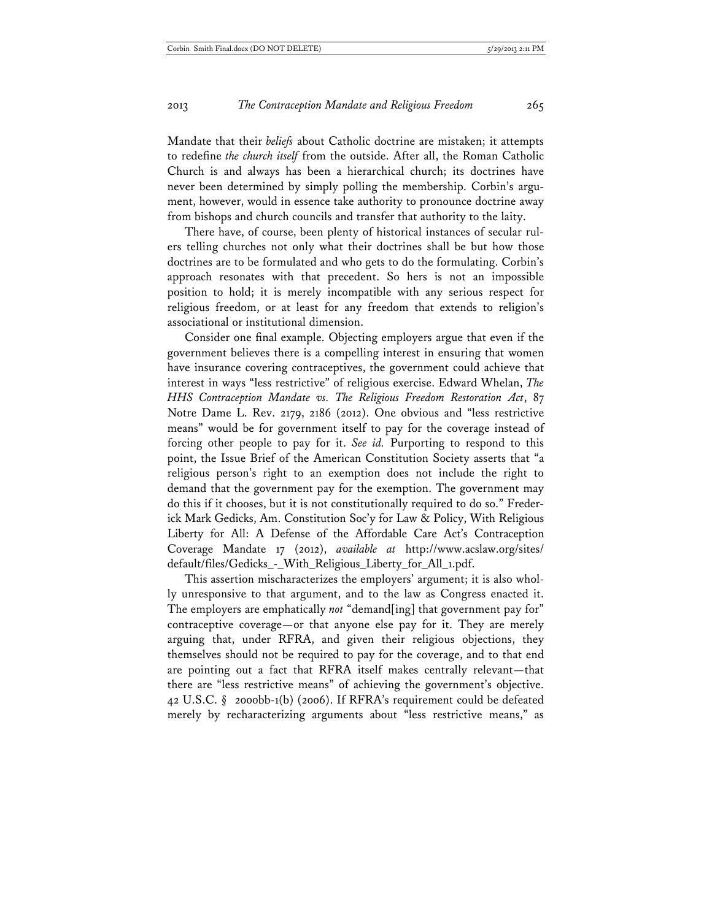Mandate that their *beliefs* about Catholic doctrine are mistaken; it attempts to redefine *the church itself* from the outside. After all, the Roman Catholic Church is and always has been a hierarchical church; its doctrines have never been determined by simply polling the membership. Corbin's argument, however, would in essence take authority to pronounce doctrine away from bishops and church councils and transfer that authority to the laity.

There have, of course, been plenty of historical instances of secular rulers telling churches not only what their doctrines shall be but how those doctrines are to be formulated and who gets to do the formulating. Corbin's approach resonates with that precedent. So hers is not an impossible position to hold; it is merely incompatible with any serious respect for religious freedom, or at least for any freedom that extends to religion's associational or institutional dimension.

Consider one final example. Objecting employers argue that even if the government believes there is a compelling interest in ensuring that women have insurance covering contraceptives, the government could achieve that interest in ways "less restrictive" of religious exercise. Edward Whelan, *The HHS Contraception Mandate vs. The Religious Freedom Restoration Act*, 87 Notre Dame L. Rev. 2179, 2186 (2012). One obvious and "less restrictive means" would be for government itself to pay for the coverage instead of forcing other people to pay for it. *See id.* Purporting to respond to this point, the Issue Brief of the American Constitution Society asserts that "a religious person's right to an exemption does not include the right to demand that the government pay for the exemption. The government may do this if it chooses, but it is not constitutionally required to do so." Frederick Mark Gedicks, Am. Constitution Soc'y for Law & Policy, With Religious Liberty for All: A Defense of the Affordable Care Act's Contraception Coverage Mandate 17 (2012), *available at* http://www.acslaw.org/sites/ default/files/Gedicks\_-\_With\_Religious\_Liberty\_for\_All\_1.pdf.

This assertion mischaracterizes the employers' argument; it is also wholly unresponsive to that argument, and to the law as Congress enacted it. The employers are emphatically *not* "demand[ing] that government pay for" contraceptive coverage—or that anyone else pay for it. They are merely arguing that, under RFRA, and given their religious objections, they themselves should not be required to pay for the coverage, and to that end are pointing out a fact that RFRA itself makes centrally relevant—that there are "less restrictive means" of achieving the government's objective. 42 U.S.C. § 2000bb-1(b) (2006). If RFRA's requirement could be defeated merely by recharacterizing arguments about "less restrictive means," as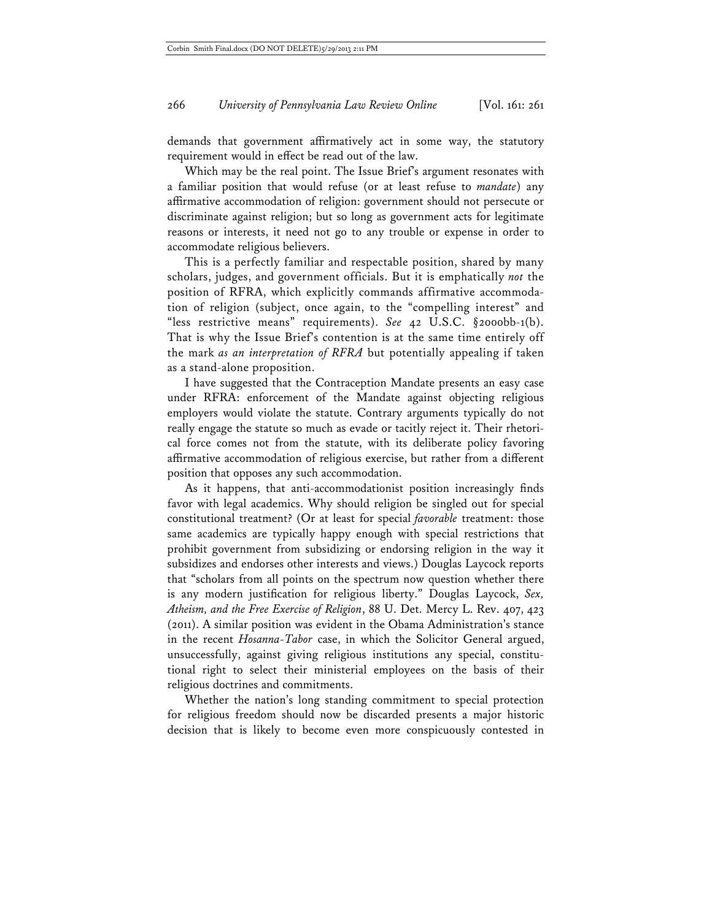demands that government affirmatively act in some way, the statutory requirement would in effect be read out of the law.

Which may be the real point. The Issue Brief's argument resonates with a familiar position that would refuse (or at least refuse to *mandate*) any affirmative accommodation of religion: government should not persecute or discriminate against religion; but so long as government acts for legitimate reasons or interests, it need not go to any trouble or expense in order to accommodate religious believers.

This is a perfectly familiar and respectable position, shared by many scholars, judges, and government officials. But it is emphatically *not* the position of RFRA, which explicitly commands affirmative accommodation of religion (subject, once again, to the "compelling interest" and "less restrictive means" requirements). *See* 42 U.S.C. §2000bb-1(b). That is why the Issue Brief's contention is at the same time entirely off the mark *as an interpretation of RFRA* but potentially appealing if taken as a stand-alone proposition.

I have suggested that the Contraception Mandate presents an easy case under RFRA: enforcement of the Mandate against objecting religious employers would violate the statute. Contrary arguments typically do not really engage the statute so much as evade or tacitly reject it. Their rhetorical force comes not from the statute, with its deliberate policy favoring affirmative accommodation of religious exercise, but rather from a different position that opposes any such accommodation.

As it happens, that anti-accommodationist position increasingly finds favor with legal academics. Why should religion be singled out for special constitutional treatment? (Or at least for special *favorable* treatment: those same academics are typically happy enough with special restrictions that prohibit government from subsidizing or endorsing religion in the way it subsidizes and endorses other interests and views.) Douglas Laycock reports that "scholars from all points on the spectrum now question whether there is any modern justification for religious liberty." Douglas Laycock, *Sex, Atheism, and the Free Exercise of Religion*, 88 U. Det. Mercy L. Rev. 407, 423 (2011). A similar position was evident in the Obama Administration's stance in the recent *Hosanna-Tabor* case, in which the Solicitor General argued, unsuccessfully, against giving religious institutions any special, constitutional right to select their ministerial employees on the basis of their religious doctrines and commitments.

Whether the nation's long standing commitment to special protection for religious freedom should now be discarded presents a major historic decision that is likely to become even more conspicuously contested in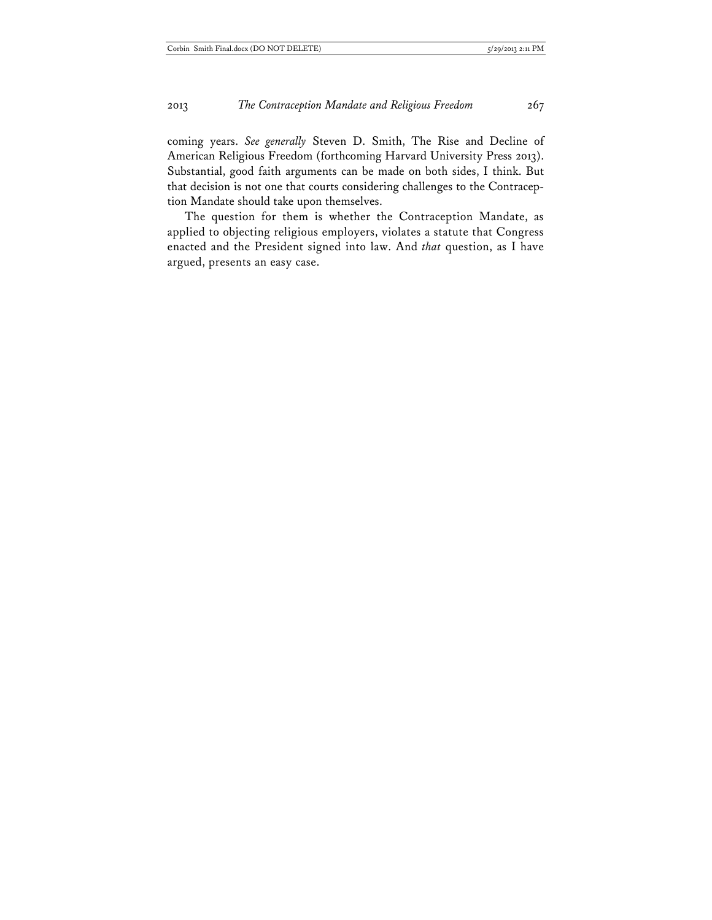coming years. *See generally* Steven D. Smith, The Rise and Decline of American Religious Freedom (forthcoming Harvard University Press 2013). Substantial, good faith arguments can be made on both sides, I think. But that decision is not one that courts considering challenges to the Contraception Mandate should take upon themselves.

The question for them is whether the Contraception Mandate, as applied to objecting religious employers, violates a statute that Congress enacted and the President signed into law. And *that* question, as I have argued, presents an easy case.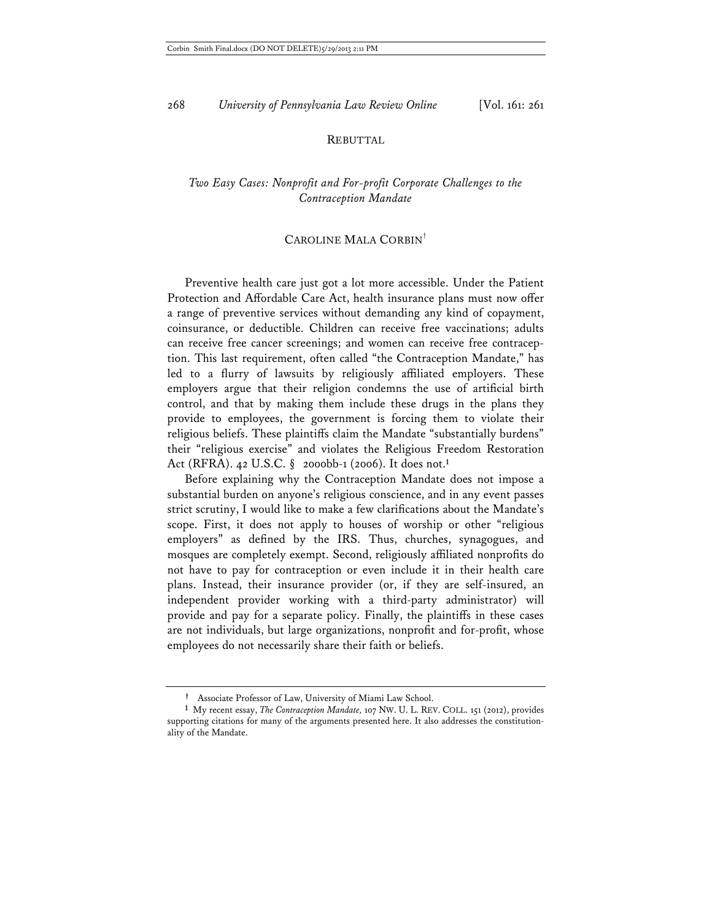#### REBUTTAL

# *Two Easy Cases: Nonprofit and For-profit Corporate Challenges to the Contraception Mandate*

## CAROLINE MALA CORBIN†

Preventive health care just got a lot more accessible. Under the Patient Protection and Affordable Care Act, health insurance plans must now offer a range of preventive services without demanding any kind of copayment, coinsurance, or deductible. Children can receive free vaccinations; adults can receive free cancer screenings; and women can receive free contraception. This last requirement, often called "the Contraception Mandate," has led to a flurry of lawsuits by religiously affiliated employers. These employers argue that their religion condemns the use of artificial birth control, and that by making them include these drugs in the plans they provide to employees, the government is forcing them to violate their religious beliefs. These plaintiffs claim the Mandate "substantially burdens" their "religious exercise" and violates the Religious Freedom Restoration Act (RFRA). 42 U.S.C. § 2000bb-1 (2006). It does not.**<sup>1</sup>**

Before explaining why the Contraception Mandate does not impose a substantial burden on anyone's religious conscience, and in any event passes strict scrutiny, I would like to make a few clarifications about the Mandate's scope. First, it does not apply to houses of worship or other "religious employers" as defined by the IRS. Thus, churches, synagogues, and mosques are completely exempt. Second, religiously affiliated nonprofits do not have to pay for contraception or even include it in their health care plans. Instead, their insurance provider (or, if they are self-insured, an independent provider working with a third-party administrator) will provide and pay for a separate policy. Finally, the plaintiffs in these cases are not individuals, but large organizations, nonprofit and for-profit, whose employees do not necessarily share their faith or beliefs.

**<sup>†</sup>** Associate Professor of Law, University of Miami Law School.

**<sup>1</sup>** My recent essay, *The Contraception Mandate,* 107 NW. U. L. REV. COLL. 151 (2012), provides supporting citations for many of the arguments presented here. It also addresses the constitutionality of the Mandate.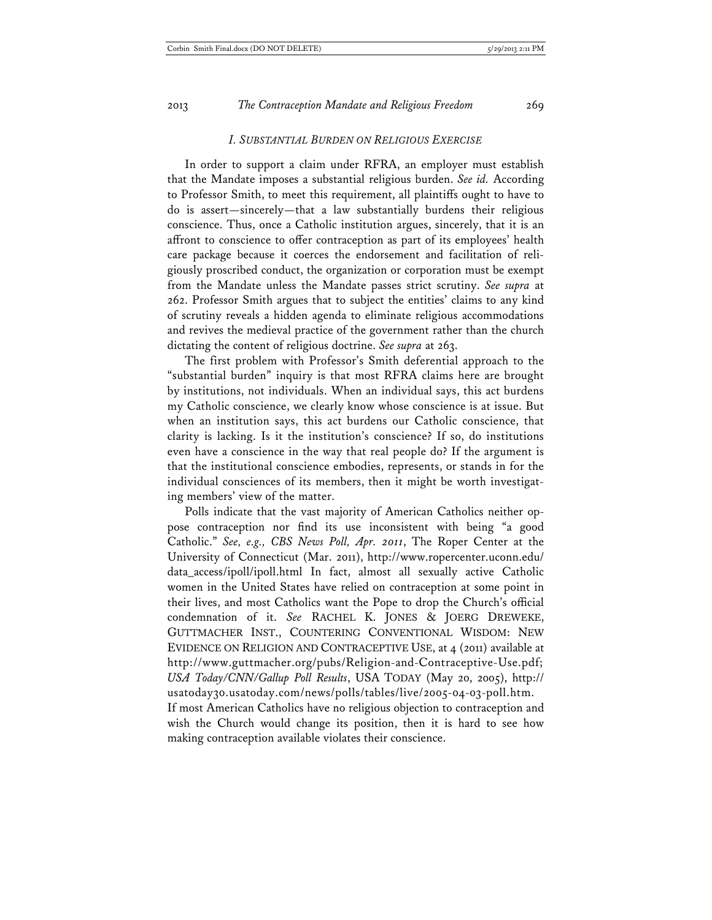#### *I. SUBSTANTIAL BURDEN ON RELIGIOUS EXERCISE*

In order to support a claim under RFRA, an employer must establish that the Mandate imposes a substantial religious burden. *See id.* According to Professor Smith, to meet this requirement, all plaintiffs ought to have to do is assert—sincerely—that a law substantially burdens their religious conscience. Thus, once a Catholic institution argues, sincerely, that it is an affront to conscience to offer contraception as part of its employees' health care package because it coerces the endorsement and facilitation of religiously proscribed conduct, the organization or corporation must be exempt from the Mandate unless the Mandate passes strict scrutiny. *See supra* at 262. Professor Smith argues that to subject the entities' claims to any kind of scrutiny reveals a hidden agenda to eliminate religious accommodations and revives the medieval practice of the government rather than the church dictating the content of religious doctrine. *See supra* at 263.

The first problem with Professor's Smith deferential approach to the "substantial burden" inquiry is that most RFRA claims here are brought by institutions, not individuals. When an individual says, this act burdens my Catholic conscience, we clearly know whose conscience is at issue. But when an institution says, this act burdens our Catholic conscience, that clarity is lacking. Is it the institution's conscience? If so, do institutions even have a conscience in the way that real people do? If the argument is that the institutional conscience embodies, represents, or stands in for the individual consciences of its members, then it might be worth investigating members' view of the matter.

Polls indicate that the vast majority of American Catholics neither oppose contraception nor find its use inconsistent with being "a good Catholic." *See, e.g., CBS News Poll, Apr. 2011*, The Roper Center at the University of Connecticut (Mar. 2011), http://www.ropercenter.uconn.edu/ data\_access/ipoll/ipoll.html In fact, almost all sexually active Catholic women in the United States have relied on contraception at some point in their lives, and most Catholics want the Pope to drop the Church's official condemnation of it. *See* RACHEL K. JONES & JOERG DREWEKE, GUTTMACHER INST., COUNTERING CONVENTIONAL WISDOM: NEW EVIDENCE ON RELIGION AND CONTRACEPTIVE USE, at 4 (2011) available at http://www.guttmacher.org/pubs/Religion-and-Contraceptive-Use.pdf; *USA Today/CNN/Gallup Poll Results*, USA TODAY (May 20, 2005), http:// usatoday30.usatoday.com/news/polls/tables/live/2005-04-03-poll.htm. If most American Catholics have no religious objection to contraception and wish the Church would change its position, then it is hard to see how making contraception available violates their conscience.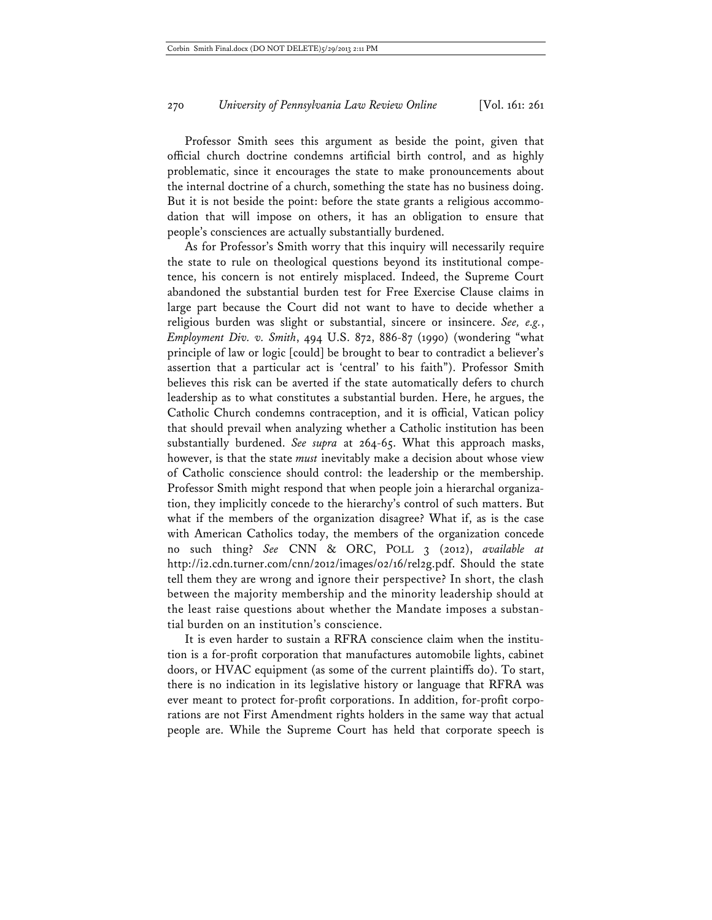Professor Smith sees this argument as beside the point, given that official church doctrine condemns artificial birth control, and as highly problematic, since it encourages the state to make pronouncements about the internal doctrine of a church, something the state has no business doing. But it is not beside the point: before the state grants a religious accommodation that will impose on others, it has an obligation to ensure that people's consciences are actually substantially burdened.

As for Professor's Smith worry that this inquiry will necessarily require the state to rule on theological questions beyond its institutional competence, his concern is not entirely misplaced. Indeed, the Supreme Court abandoned the substantial burden test for Free Exercise Clause claims in large part because the Court did not want to have to decide whether a religious burden was slight or substantial, sincere or insincere. *See, e.g.*, *Employment Div. v. Smith*, 494 U.S. 872, 886-87 (1990) (wondering "what principle of law or logic [could] be brought to bear to contradict a believer's assertion that a particular act is 'central' to his faith"). Professor Smith believes this risk can be averted if the state automatically defers to church leadership as to what constitutes a substantial burden. Here, he argues, the Catholic Church condemns contraception, and it is official, Vatican policy that should prevail when analyzing whether a Catholic institution has been substantially burdened. *See supra* at 264-65. What this approach masks, however, is that the state *must* inevitably make a decision about whose view of Catholic conscience should control: the leadership or the membership. Professor Smith might respond that when people join a hierarchal organization, they implicitly concede to the hierarchy's control of such matters. But what if the members of the organization disagree? What if, as is the case with American Catholics today, the members of the organization concede no such thing? *See* CNN & ORC, POLL 3 (2012), *available at* http://i2.cdn.turner.com/cnn/2012/images/02/16/rel2g.pdf. Should the state tell them they are wrong and ignore their perspective? In short, the clash between the majority membership and the minority leadership should at the least raise questions about whether the Mandate imposes a substantial burden on an institution's conscience.

It is even harder to sustain a RFRA conscience claim when the institution is a for-profit corporation that manufactures automobile lights, cabinet doors, or HVAC equipment (as some of the current plaintiffs do). To start, there is no indication in its legislative history or language that RFRA was ever meant to protect for-profit corporations. In addition, for-profit corporations are not First Amendment rights holders in the same way that actual people are. While the Supreme Court has held that corporate speech is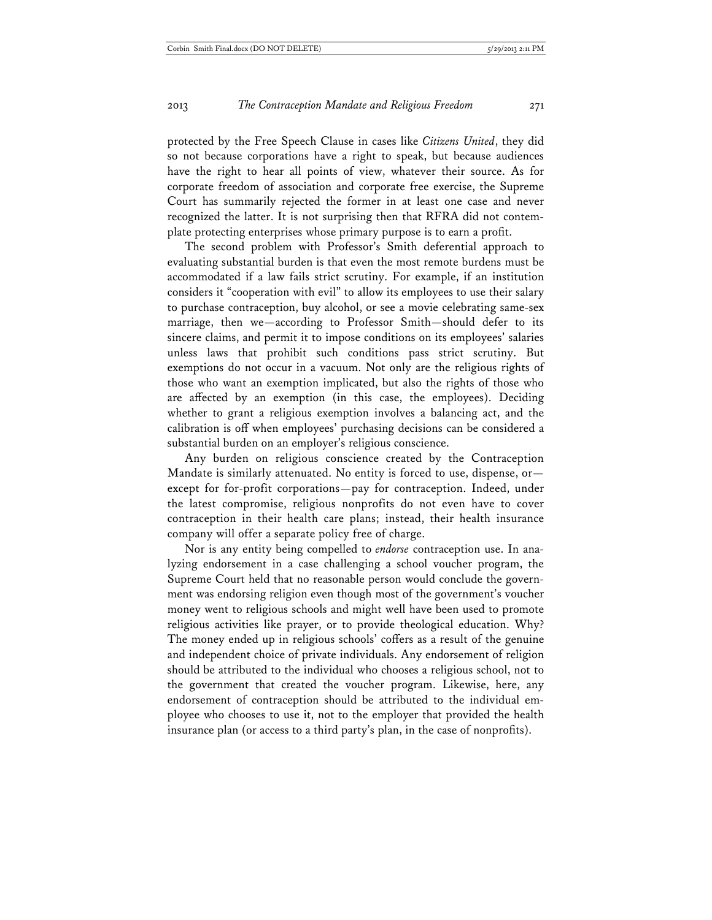protected by the Free Speech Clause in cases like *Citizens United*, they did so not because corporations have a right to speak, but because audiences have the right to hear all points of view, whatever their source. As for corporate freedom of association and corporate free exercise, the Supreme Court has summarily rejected the former in at least one case and never recognized the latter. It is not surprising then that RFRA did not contemplate protecting enterprises whose primary purpose is to earn a profit.

The second problem with Professor's Smith deferential approach to evaluating substantial burden is that even the most remote burdens must be accommodated if a law fails strict scrutiny. For example, if an institution considers it "cooperation with evil" to allow its employees to use their salary to purchase contraception, buy alcohol, or see a movie celebrating same-sex marriage, then we—according to Professor Smith—should defer to its sincere claims, and permit it to impose conditions on its employees' salaries unless laws that prohibit such conditions pass strict scrutiny. But exemptions do not occur in a vacuum. Not only are the religious rights of those who want an exemption implicated, but also the rights of those who are affected by an exemption (in this case, the employees). Deciding whether to grant a religious exemption involves a balancing act, and the calibration is off when employees' purchasing decisions can be considered a substantial burden on an employer's religious conscience.

Any burden on religious conscience created by the Contraception Mandate is similarly attenuated. No entity is forced to use, dispense, or except for for-profit corporations—pay for contraception. Indeed, under the latest compromise, religious nonprofits do not even have to cover contraception in their health care plans; instead, their health insurance company will offer a separate policy free of charge.

Nor is any entity being compelled to *endorse* contraception use. In analyzing endorsement in a case challenging a school voucher program, the Supreme Court held that no reasonable person would conclude the government was endorsing religion even though most of the government's voucher money went to religious schools and might well have been used to promote religious activities like prayer, or to provide theological education. Why? The money ended up in religious schools' coffers as a result of the genuine and independent choice of private individuals. Any endorsement of religion should be attributed to the individual who chooses a religious school, not to the government that created the voucher program. Likewise, here, any endorsement of contraception should be attributed to the individual employee who chooses to use it, not to the employer that provided the health insurance plan (or access to a third party's plan, in the case of nonprofits).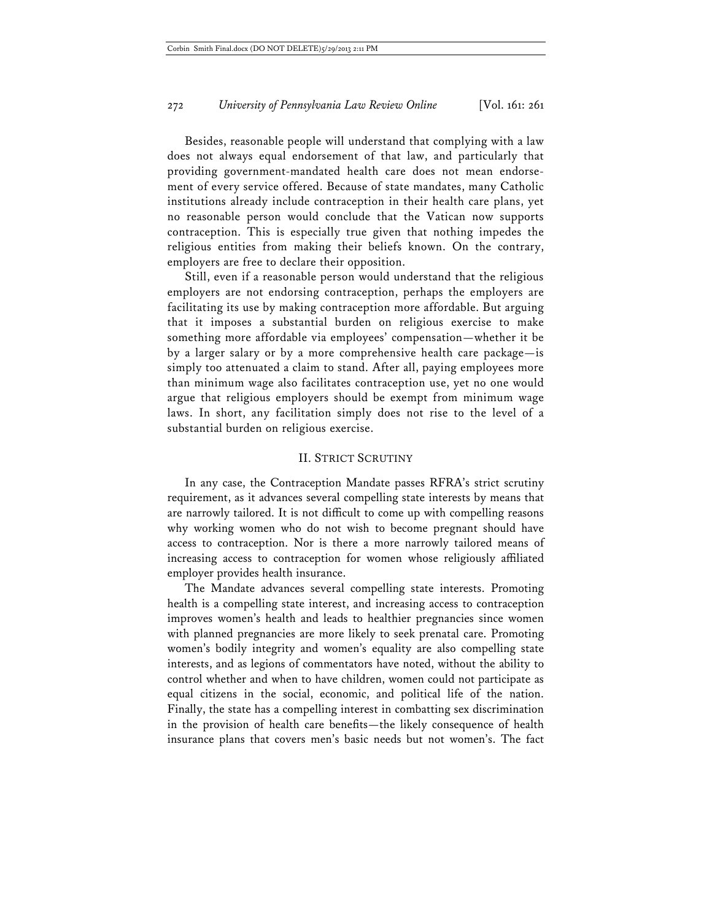Besides, reasonable people will understand that complying with a law does not always equal endorsement of that law, and particularly that providing government-mandated health care does not mean endorsement of every service offered. Because of state mandates, many Catholic institutions already include contraception in their health care plans, yet no reasonable person would conclude that the Vatican now supports contraception. This is especially true given that nothing impedes the religious entities from making their beliefs known. On the contrary, employers are free to declare their opposition.

Still, even if a reasonable person would understand that the religious employers are not endorsing contraception, perhaps the employers are facilitating its use by making contraception more affordable. But arguing that it imposes a substantial burden on religious exercise to make something more affordable via employees' compensation—whether it be by a larger salary or by a more comprehensive health care package—is simply too attenuated a claim to stand. After all, paying employees more than minimum wage also facilitates contraception use, yet no one would argue that religious employers should be exempt from minimum wage laws. In short, any facilitation simply does not rise to the level of a substantial burden on religious exercise.

### II. STRICT SCRUTINY

In any case, the Contraception Mandate passes RFRA's strict scrutiny requirement, as it advances several compelling state interests by means that are narrowly tailored. It is not difficult to come up with compelling reasons why working women who do not wish to become pregnant should have access to contraception. Nor is there a more narrowly tailored means of increasing access to contraception for women whose religiously affiliated employer provides health insurance.

The Mandate advances several compelling state interests. Promoting health is a compelling state interest, and increasing access to contraception improves women's health and leads to healthier pregnancies since women with planned pregnancies are more likely to seek prenatal care. Promoting women's bodily integrity and women's equality are also compelling state interests, and as legions of commentators have noted, without the ability to control whether and when to have children, women could not participate as equal citizens in the social, economic, and political life of the nation. Finally, the state has a compelling interest in combatting sex discrimination in the provision of health care benefits—the likely consequence of health insurance plans that covers men's basic needs but not women's. The fact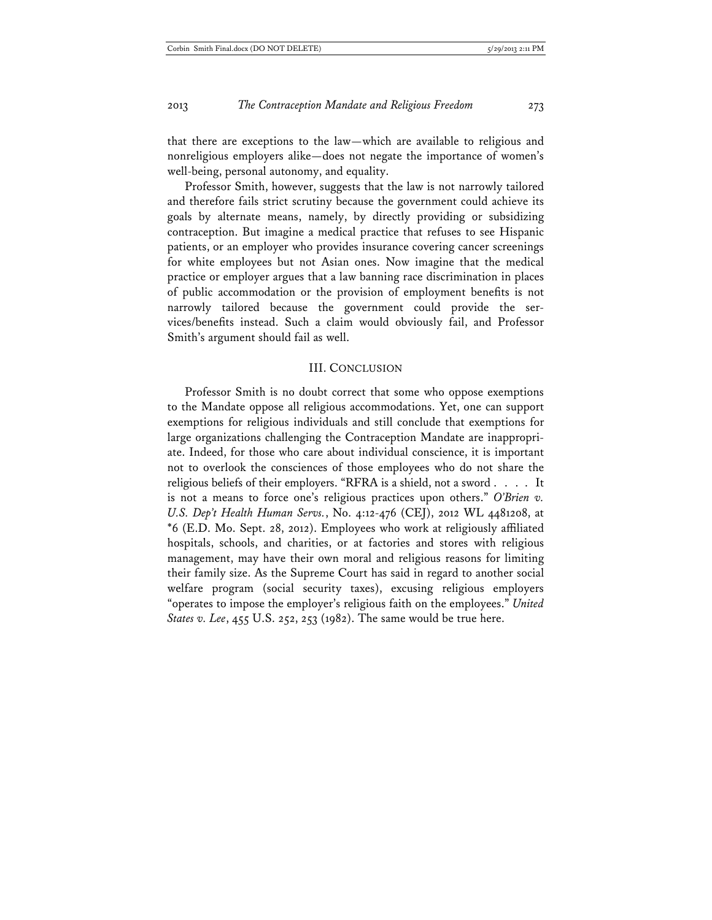that there are exceptions to the law—which are available to religious and nonreligious employers alike—does not negate the importance of women's well-being, personal autonomy, and equality.

Professor Smith, however, suggests that the law is not narrowly tailored and therefore fails strict scrutiny because the government could achieve its goals by alternate means, namely, by directly providing or subsidizing contraception. But imagine a medical practice that refuses to see Hispanic patients, or an employer who provides insurance covering cancer screenings for white employees but not Asian ones. Now imagine that the medical practice or employer argues that a law banning race discrimination in places of public accommodation or the provision of employment benefits is not narrowly tailored because the government could provide the services/benefits instead. Such a claim would obviously fail, and Professor Smith's argument should fail as well.

### III. CONCLUSION

Professor Smith is no doubt correct that some who oppose exemptions to the Mandate oppose all religious accommodations. Yet, one can support exemptions for religious individuals and still conclude that exemptions for large organizations challenging the Contraception Mandate are inappropriate. Indeed, for those who care about individual conscience, it is important not to overlook the consciences of those employees who do not share the religious beliefs of their employers. "RFRA is a shield, not a sword . . . . It is not a means to force one's religious practices upon others." *O'Brien v. U.S. Dep't Health Human Servs.*, No. 4:12-476 (CEJ), 2012 WL 4481208, at \*6 (E.D. Mo. Sept. 28, 2012). Employees who work at religiously affiliated hospitals, schools, and charities, or at factories and stores with religious management, may have their own moral and religious reasons for limiting their family size. As the Supreme Court has said in regard to another social welfare program (social security taxes), excusing religious employers "operates to impose the employer's religious faith on the employees." *United States v. Lee*, 455 U.S. 252, 253 (1982). The same would be true here.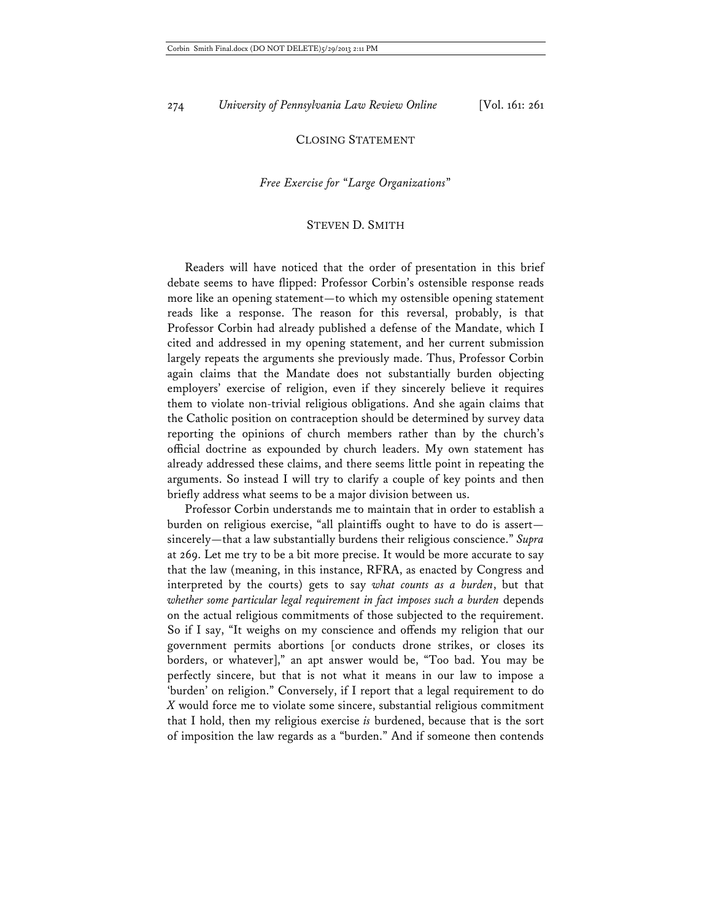## CLOSING STATEMENT

### *Free Exercise for* "*Large Organizations*"

#### STEVEN D. SMITH

 Readers will have noticed that the order of presentation in this brief debate seems to have flipped: Professor Corbin's ostensible response reads more like an opening statement—to which my ostensible opening statement reads like a response. The reason for this reversal, probably, is that Professor Corbin had already published a defense of the Mandate, which I cited and addressed in my opening statement, and her current submission largely repeats the arguments she previously made. Thus, Professor Corbin again claims that the Mandate does not substantially burden objecting employers' exercise of religion, even if they sincerely believe it requires them to violate non-trivial religious obligations. And she again claims that the Catholic position on contraception should be determined by survey data reporting the opinions of church members rather than by the church's official doctrine as expounded by church leaders. My own statement has already addressed these claims, and there seems little point in repeating the arguments. So instead I will try to clarify a couple of key points and then briefly address what seems to be a major division between us.

Professor Corbin understands me to maintain that in order to establish a burden on religious exercise, "all plaintiffs ought to have to do is assert sincerely—that a law substantially burdens their religious conscience." *Supra* at 269. Let me try to be a bit more precise. It would be more accurate to say that the law (meaning, in this instance, RFRA, as enacted by Congress and interpreted by the courts) gets to say *what counts as a burden*, but that *whether some particular legal requirement in fact imposes such a burden* depends on the actual religious commitments of those subjected to the requirement. So if I say, "It weighs on my conscience and offends my religion that our government permits abortions [or conducts drone strikes, or closes its borders, or whatever]," an apt answer would be, "Too bad. You may be perfectly sincere, but that is not what it means in our law to impose a 'burden' on religion." Conversely, if I report that a legal requirement to do *X* would force me to violate some sincere, substantial religious commitment that I hold, then my religious exercise *is* burdened, because that is the sort of imposition the law regards as a "burden." And if someone then contends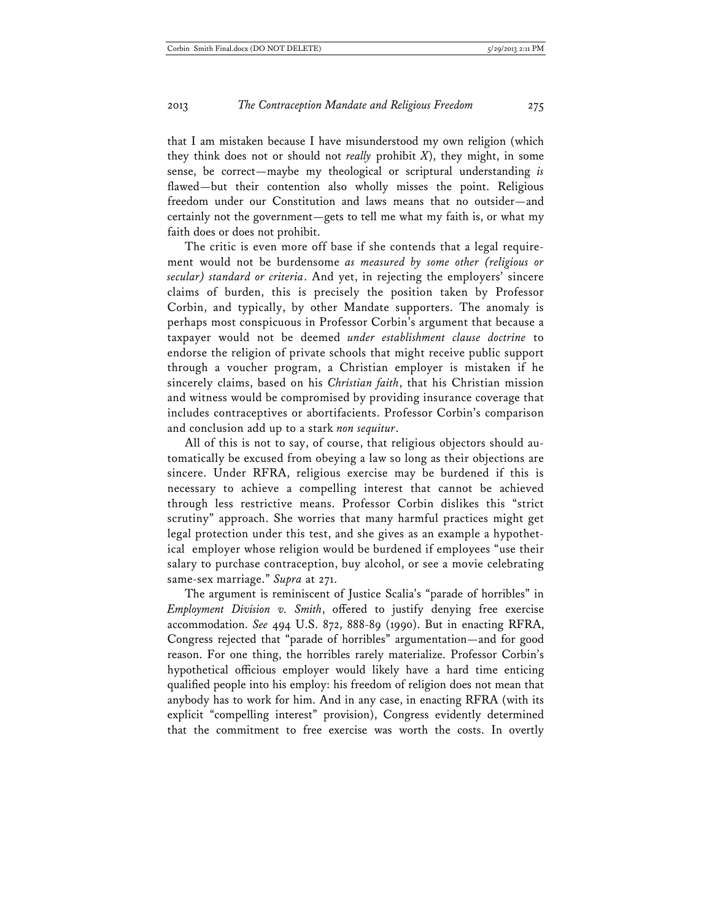that I am mistaken because I have misunderstood my own religion (which they think does not or should not *really* prohibit *X*), they might, in some sense, be correct—maybe my theological or scriptural understanding *is* flawed—but their contention also wholly misses the point. Religious freedom under our Constitution and laws means that no outsider—and certainly not the government—gets to tell me what my faith is, or what my faith does or does not prohibit.

The critic is even more off base if she contends that a legal requirement would not be burdensome *as measured by some other (religious or secular) standard or criteria*. And yet, in rejecting the employers' sincere claims of burden, this is precisely the position taken by Professor Corbin, and typically, by other Mandate supporters. The anomaly is perhaps most conspicuous in Professor Corbin's argument that because a taxpayer would not be deemed *under establishment clause doctrine* to endorse the religion of private schools that might receive public support through a voucher program, a Christian employer is mistaken if he sincerely claims, based on his *Christian faith*, that his Christian mission and witness would be compromised by providing insurance coverage that includes contraceptives or abortifacients. Professor Corbin's comparison and conclusion add up to a stark *non sequitur*.

All of this is not to say, of course, that religious objectors should automatically be excused from obeying a law so long as their objections are sincere. Under RFRA, religious exercise may be burdened if this is necessary to achieve a compelling interest that cannot be achieved through less restrictive means. Professor Corbin dislikes this "strict scrutiny" approach. She worries that many harmful practices might get legal protection under this test, and she gives as an example a hypothetical employer whose religion would be burdened if employees "use their salary to purchase contraception, buy alcohol, or see a movie celebrating same-sex marriage." *Supra* at 271.

The argument is reminiscent of Justice Scalia's "parade of horribles" in *Employment Division v. Smith*, offered to justify denying free exercise accommodation. *See* 494 U.S. 872, 888-89 (1990). But in enacting RFRA, Congress rejected that "parade of horribles" argumentation—and for good reason. For one thing, the horribles rarely materialize. Professor Corbin's hypothetical officious employer would likely have a hard time enticing qualified people into his employ: his freedom of religion does not mean that anybody has to work for him. And in any case, in enacting RFRA (with its explicit "compelling interest" provision), Congress evidently determined that the commitment to free exercise was worth the costs. In overtly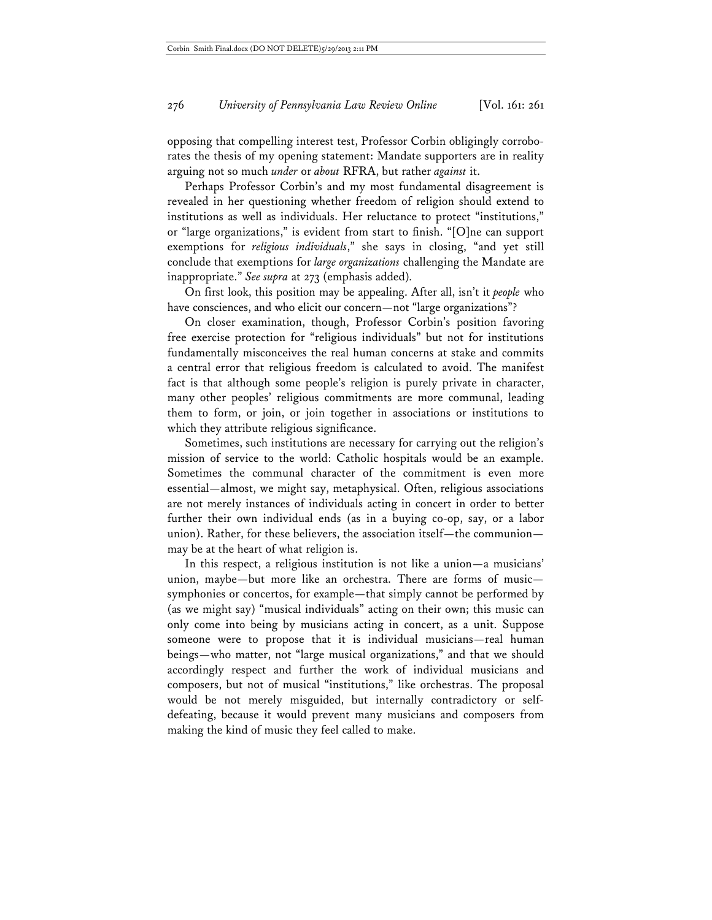opposing that compelling interest test, Professor Corbin obligingly corroborates the thesis of my opening statement: Mandate supporters are in reality arguing not so much *under* or *about* RFRA, but rather *against* it.

Perhaps Professor Corbin's and my most fundamental disagreement is revealed in her questioning whether freedom of religion should extend to institutions as well as individuals. Her reluctance to protect "institutions," or "large organizations," is evident from start to finish. "[O]ne can support exemptions for *religious individuals*," she says in closing, "and yet still conclude that exemptions for *large organizations* challenging the Mandate are inappropriate." *See supra* at 273 (emphasis added)*.*

On first look, this position may be appealing. After all, isn't it *people* who have consciences, and who elicit our concern—not "large organizations"?

On closer examination, though, Professor Corbin's position favoring free exercise protection for "religious individuals" but not for institutions fundamentally misconceives the real human concerns at stake and commits a central error that religious freedom is calculated to avoid. The manifest fact is that although some people's religion is purely private in character, many other peoples' religious commitments are more communal, leading them to form, or join, or join together in associations or institutions to which they attribute religious significance.

Sometimes, such institutions are necessary for carrying out the religion's mission of service to the world: Catholic hospitals would be an example. Sometimes the communal character of the commitment is even more essential—almost, we might say, metaphysical. Often, religious associations are not merely instances of individuals acting in concert in order to better further their own individual ends (as in a buying co-op, say, or a labor union). Rather, for these believers, the association itself—the communion may be at the heart of what religion is.

In this respect, a religious institution is not like a union—a musicians' union, maybe—but more like an orchestra. There are forms of music symphonies or concertos, for example—that simply cannot be performed by (as we might say) "musical individuals" acting on their own; this music can only come into being by musicians acting in concert, as a unit. Suppose someone were to propose that it is individual musicians—real human beings—who matter, not "large musical organizations," and that we should accordingly respect and further the work of individual musicians and composers, but not of musical "institutions," like orchestras. The proposal would be not merely misguided, but internally contradictory or selfdefeating, because it would prevent many musicians and composers from making the kind of music they feel called to make.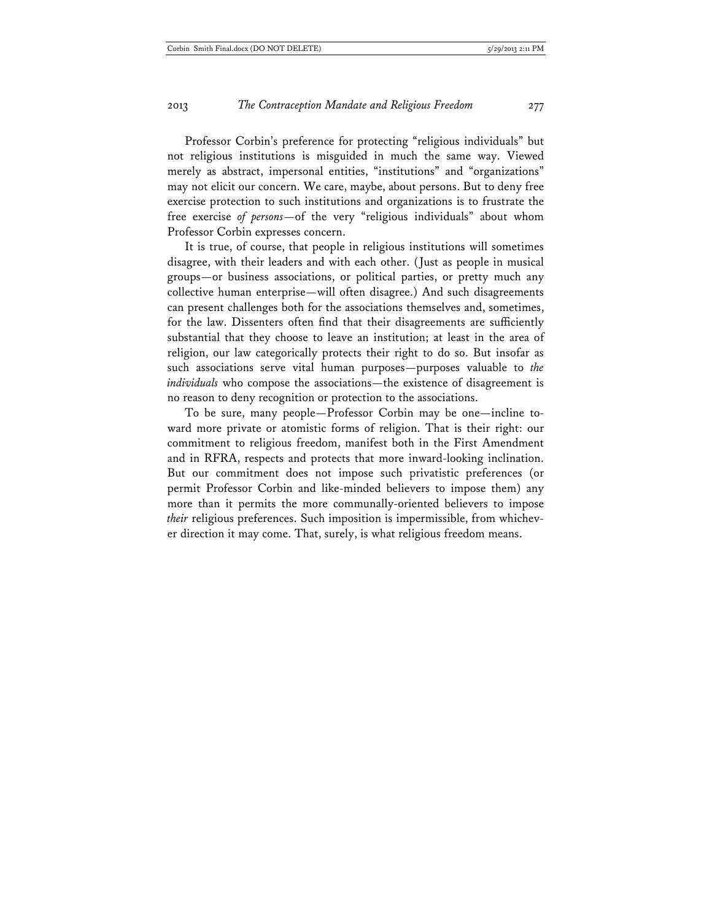Professor Corbin's preference for protecting "religious individuals" but not religious institutions is misguided in much the same way. Viewed merely as abstract, impersonal entities, "institutions" and "organizations" may not elicit our concern. We care, maybe, about persons. But to deny free exercise protection to such institutions and organizations is to frustrate the free exercise *of persons*—of the very "religious individuals" about whom Professor Corbin expresses concern.

It is true, of course, that people in religious institutions will sometimes disagree, with their leaders and with each other. (Just as people in musical groups—or business associations, or political parties, or pretty much any collective human enterprise—will often disagree.) And such disagreements can present challenges both for the associations themselves and, sometimes, for the law. Dissenters often find that their disagreements are sufficiently substantial that they choose to leave an institution; at least in the area of religion, our law categorically protects their right to do so. But insofar as such associations serve vital human purposes—purposes valuable to *the individuals* who compose the associations—the existence of disagreement is no reason to deny recognition or protection to the associations.

To be sure, many people—Professor Corbin may be one—incline toward more private or atomistic forms of religion. That is their right: our commitment to religious freedom, manifest both in the First Amendment and in RFRA, respects and protects that more inward-looking inclination. But our commitment does not impose such privatistic preferences (or permit Professor Corbin and like-minded believers to impose them) any more than it permits the more communally-oriented believers to impose *their* religious preferences. Such imposition is impermissible, from whichever direction it may come. That, surely, is what religious freedom means.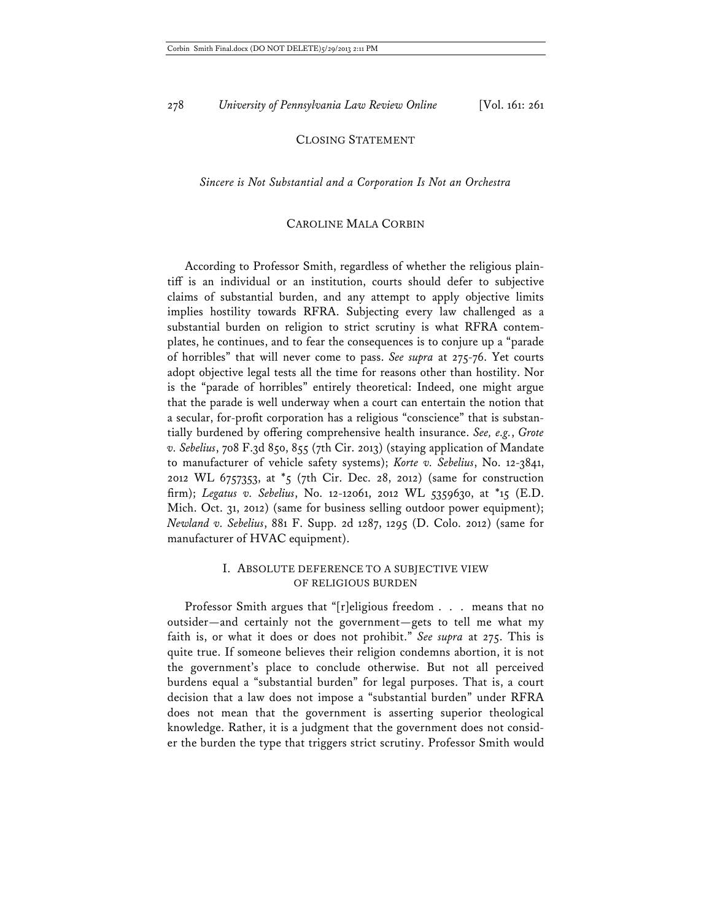### CLOSING STATEMENT

### *Sincere is Not Substantial and a Corporation Is Not an Orchestra*

### CAROLINE MALA CORBIN

According to Professor Smith, regardless of whether the religious plaintiff is an individual or an institution, courts should defer to subjective claims of substantial burden, and any attempt to apply objective limits implies hostility towards RFRA. Subjecting every law challenged as a substantial burden on religion to strict scrutiny is what RFRA contemplates, he continues, and to fear the consequences is to conjure up a "parade of horribles" that will never come to pass. *See supra* at 275-76. Yet courts adopt objective legal tests all the time for reasons other than hostility. Nor is the "parade of horribles" entirely theoretical: Indeed, one might argue that the parade is well underway when a court can entertain the notion that a secular, for-profit corporation has a religious "conscience" that is substantially burdened by offering comprehensive health insurance. *See, e.g.*, *Grote v. Sebelius*, 708 F.3d 850, 855 (7th Cir. 2013) (staying application of Mandate to manufacturer of vehicle safety systems); *Korte v. Sebelius*, No. 12-3841, 2012 WL 6757353, at \*5 (7th Cir. Dec. 28, 2012) (same for construction firm); *Legatus v. Sebelius*, No. 12-12061, 2012 WL 5359630, at \*15 (E.D. Mich. Oct. 31, 2012) (same for business selling outdoor power equipment); *Newland v. Sebelius*, 881 F. Supp. 2d 1287, 1295 (D. Colo. 2012) (same for manufacturer of HVAC equipment).

### I. ABSOLUTE DEFERENCE TO A SUBJECTIVE VIEW OF RELIGIOUS BURDEN

Professor Smith argues that "[r]eligious freedom . . . means that no outsider—and certainly not the government—gets to tell me what my faith is, or what it does or does not prohibit." *See supra* at 275. This is quite true. If someone believes their religion condemns abortion, it is not the government's place to conclude otherwise. But not all perceived burdens equal a "substantial burden" for legal purposes. That is, a court decision that a law does not impose a "substantial burden" under RFRA does not mean that the government is asserting superior theological knowledge. Rather, it is a judgment that the government does not consider the burden the type that triggers strict scrutiny. Professor Smith would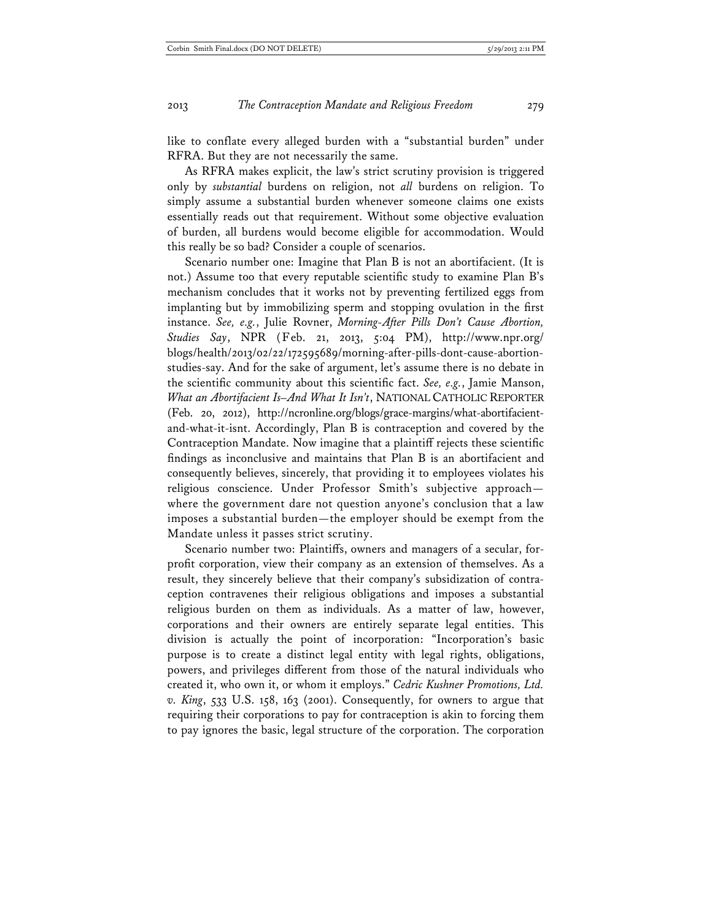like to conflate every alleged burden with a "substantial burden" under RFRA. But they are not necessarily the same.

As RFRA makes explicit, the law's strict scrutiny provision is triggered only by *substantial* burdens on religion, not *all* burdens on religion. To simply assume a substantial burden whenever someone claims one exists essentially reads out that requirement. Without some objective evaluation of burden, all burdens would become eligible for accommodation. Would this really be so bad? Consider a couple of scenarios.

Scenario number one: Imagine that Plan B is not an abortifacient. (It is not.) Assume too that every reputable scientific study to examine Plan B's mechanism concludes that it works not by preventing fertilized eggs from implanting but by immobilizing sperm and stopping ovulation in the first instance. *See, e.g.*, Julie Rovner, *Morning-After Pills Don't Cause Abortion, Studies Say*, NPR (Feb. 21, 2013, 5:04 PM), http://www.npr.org/ blogs/health/2013/02/22/172595689/morning-after-pills-dont-cause-abortionstudies-say. And for the sake of argument, let's assume there is no debate in the scientific community about this scientific fact. *See, e.g.*, Jamie Manson, *What an Abortifacient Is–And What It Isn't*, NATIONAL CATHOLIC REPORTER (Feb. 20, 2012), http://ncronline.org/blogs/grace-margins/what-abortifacientand-what-it-isnt. Accordingly, Plan B is contraception and covered by the Contraception Mandate. Now imagine that a plaintiff rejects these scientific findings as inconclusive and maintains that Plan B is an abortifacient and consequently believes, sincerely, that providing it to employees violates his religious conscience. Under Professor Smith's subjective approach where the government dare not question anyone's conclusion that a law imposes a substantial burden—the employer should be exempt from the Mandate unless it passes strict scrutiny.

Scenario number two: Plaintiffs, owners and managers of a secular, forprofit corporation, view their company as an extension of themselves. As a result, they sincerely believe that their company's subsidization of contraception contravenes their religious obligations and imposes a substantial religious burden on them as individuals. As a matter of law, however, corporations and their owners are entirely separate legal entities. This division is actually the point of incorporation: "Incorporation's basic purpose is to create a distinct legal entity with legal rights, obligations, powers, and privileges different from those of the natural individuals who created it, who own it, or whom it employs." *Cedric Kushner Promotions, Ltd. v. King*, 533 U.S. 158, 163 (2001). Consequently, for owners to argue that requiring their corporations to pay for contraception is akin to forcing them to pay ignores the basic, legal structure of the corporation. The corporation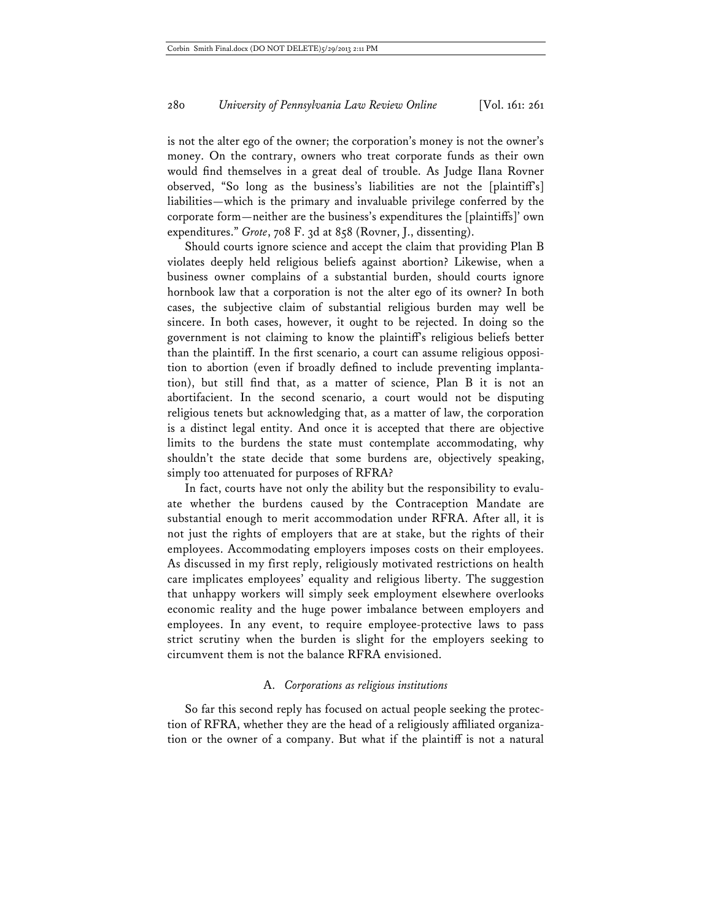is not the alter ego of the owner; the corporation's money is not the owner's money. On the contrary, owners who treat corporate funds as their own would find themselves in a great deal of trouble. As Judge Ilana Rovner observed, "So long as the business's liabilities are not the [plaintiff's] liabilities—which is the primary and invaluable privilege conferred by the corporate form—neither are the business's expenditures the [plaintiffs]' own expenditures." *Grote*, 708 F. 3d at 858 (Rovner, J., dissenting).

Should courts ignore science and accept the claim that providing Plan B violates deeply held religious beliefs against abortion? Likewise, when a business owner complains of a substantial burden, should courts ignore hornbook law that a corporation is not the alter ego of its owner? In both cases, the subjective claim of substantial religious burden may well be sincere. In both cases, however, it ought to be rejected. In doing so the government is not claiming to know the plaintiff's religious beliefs better than the plaintiff. In the first scenario, a court can assume religious opposition to abortion (even if broadly defined to include preventing implantation), but still find that, as a matter of science, Plan B it is not an abortifacient. In the second scenario, a court would not be disputing religious tenets but acknowledging that, as a matter of law, the corporation is a distinct legal entity. And once it is accepted that there are objective limits to the burdens the state must contemplate accommodating, why shouldn't the state decide that some burdens are, objectively speaking, simply too attenuated for purposes of RFRA?

In fact, courts have not only the ability but the responsibility to evaluate whether the burdens caused by the Contraception Mandate are substantial enough to merit accommodation under RFRA. After all, it is not just the rights of employers that are at stake, but the rights of their employees. Accommodating employers imposes costs on their employees. As discussed in my first reply, religiously motivated restrictions on health care implicates employees' equality and religious liberty. The suggestion that unhappy workers will simply seek employment elsewhere overlooks economic reality and the huge power imbalance between employers and employees. In any event, to require employee-protective laws to pass strict scrutiny when the burden is slight for the employers seeking to circumvent them is not the balance RFRA envisioned.

### A. *Corporations as religious institutions*

So far this second reply has focused on actual people seeking the protection of RFRA, whether they are the head of a religiously affiliated organization or the owner of a company. But what if the plaintiff is not a natural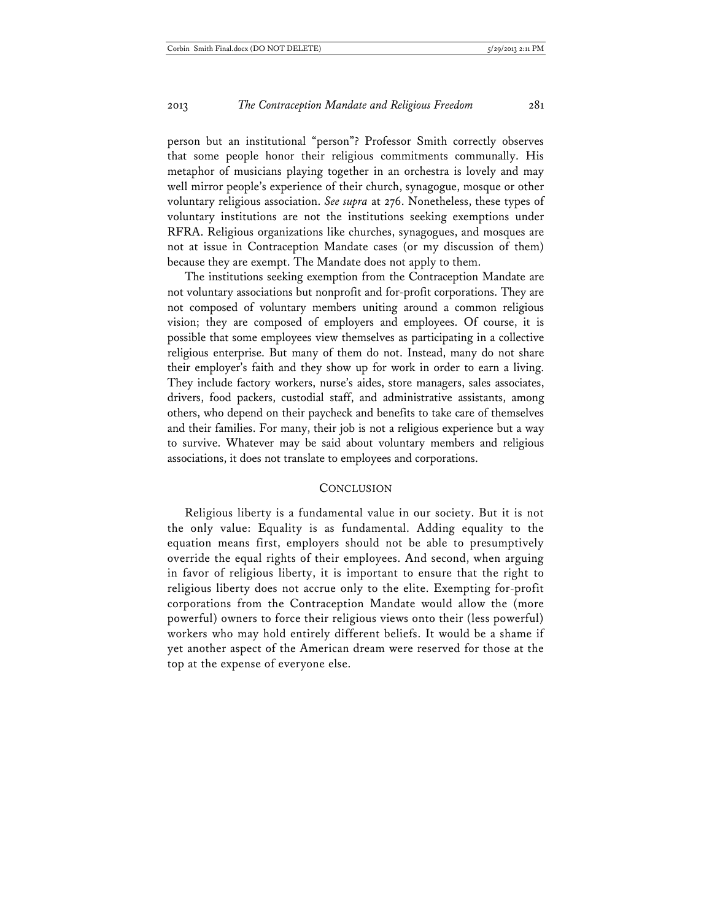person but an institutional "person"? Professor Smith correctly observes that some people honor their religious commitments communally. His metaphor of musicians playing together in an orchestra is lovely and may well mirror people's experience of their church, synagogue, mosque or other voluntary religious association. *See supra* at 276. Nonetheless, these types of voluntary institutions are not the institutions seeking exemptions under RFRA. Religious organizations like churches, synagogues, and mosques are not at issue in Contraception Mandate cases (or my discussion of them) because they are exempt. The Mandate does not apply to them.

The institutions seeking exemption from the Contraception Mandate are not voluntary associations but nonprofit and for-profit corporations. They are not composed of voluntary members uniting around a common religious vision; they are composed of employers and employees. Of course, it is possible that some employees view themselves as participating in a collective religious enterprise. But many of them do not. Instead, many do not share their employer's faith and they show up for work in order to earn a living. They include factory workers, nurse's aides, store managers, sales associates, drivers, food packers, custodial staff, and administrative assistants, among others, who depend on their paycheck and benefits to take care of themselves and their families. For many, their job is not a religious experience but a way to survive. Whatever may be said about voluntary members and religious associations, it does not translate to employees and corporations.

### **CONCLUSION**

Religious liberty is a fundamental value in our society. But it is not the only value: Equality is as fundamental. Adding equality to the equation means first, employers should not be able to presumptively override the equal rights of their employees. And second, when arguing in favor of religious liberty, it is important to ensure that the right to religious liberty does not accrue only to the elite. Exempting for-profit corporations from the Contraception Mandate would allow the (more powerful) owners to force their religious views onto their (less powerful) workers who may hold entirely different beliefs. It would be a shame if yet another aspect of the American dream were reserved for those at the top at the expense of everyone else.